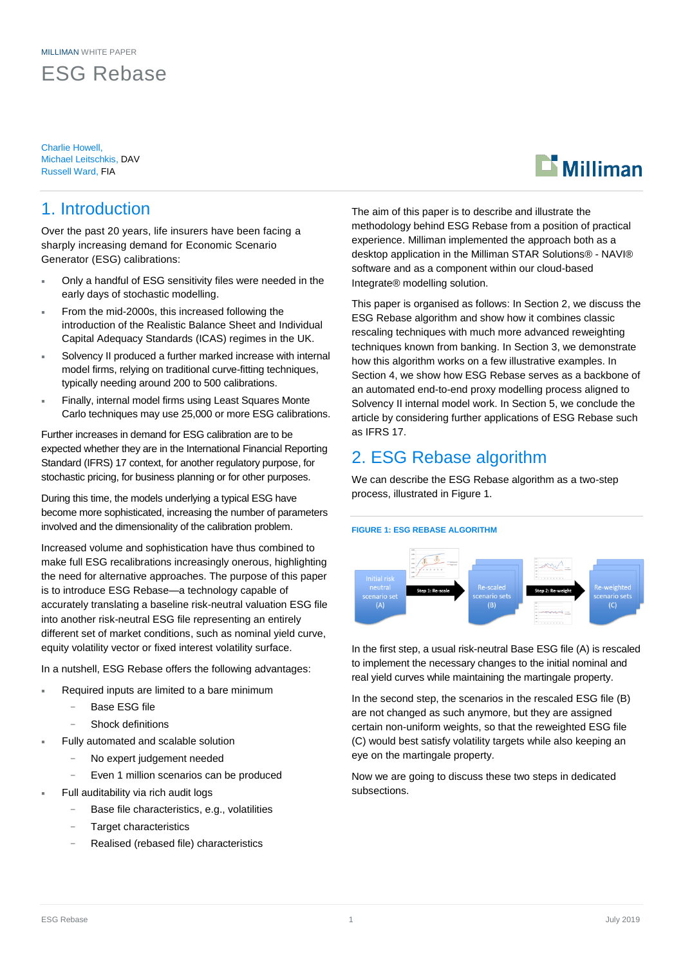ESG Rebase

Charlie Howell, Michael Leitschkis, DAV Russell Ward, FIA

# $\mathbf{\mathbf{\Sigma}}$  Milliman

# 1. Introduction

Over the past 20 years, life insurers have been facing a sharply increasing demand for Economic Scenario Generator (ESG) calibrations:

- Only a handful of ESG sensitivity files were needed in the early days of stochastic modelling.
- From the mid-2000s, this increased following the introduction of the Realistic Balance Sheet and Individual Capital Adequacy Standards (ICAS) regimes in the UK.
- Solvency II produced a further marked increase with internal model firms, relying on traditional curve-fitting techniques, typically needing around 200 to 500 calibrations.
- Finally, internal model firms using Least Squares Monte Carlo techniques may use 25,000 or more ESG calibrations.

Further increases in demand for ESG calibration are to be expected whether they are in the International Financial Reporting Standard (IFRS) 17 context, for another regulatory purpose, for stochastic pricing, for business planning or for other purposes.

During this time, the models underlying a typical ESG have become more sophisticated, increasing the number of parameters involved and the dimensionality of the calibration problem.

Increased volume and sophistication have thus combined to make full ESG recalibrations increasingly onerous, highlighting the need for alternative approaches. The purpose of this paper is to introduce ESG Rebase—a technology capable of accurately translating a baseline risk-neutral valuation ESG file into another risk-neutral ESG file representing an entirely different set of market conditions, such as nominal yield curve, equity volatility vector or fixed interest volatility surface.

In a nutshell, ESG Rebase offers the following advantages:

- Required inputs are limited to a bare minimum
	- Base ESG file
	- Shock definitions
- Fully automated and scalable solution
	- No expert judgement needed
	- Even 1 million scenarios can be produced
- Full auditability via rich audit logs
	- Base file characteristics, e.g., volatilities
	- Target characteristics
	- − Realised (rebased file) characteristics

The aim of this paper is to describe and illustrate the methodology behind ESG Rebase from a position of practical experience. Milliman implemented the approach both as a desktop application in the Milliman STAR Solutions® - NAVI® software and as a component within our cloud-based Integrate® modelling solution.

This paper is organised as follows: In Section 2, we discuss the ESG Rebase algorithm and show how it combines classic rescaling techniques with much more advanced reweighting techniques known from banking. In Section 3, we demonstrate how this algorithm works on a few illustrative examples. In Section 4, we show how ESG Rebase serves as a backbone of an automated end-to-end proxy modelling process aligned to Solvency II internal model work. In Section 5, we conclude the article by considering further applications of ESG Rebase such as IFRS 17.

# 2. ESG Rebase algorithm

We can describe the ESG Rebase algorithm as a two-step process, illustrated in Figure 1.

#### **FIGURE 1: ESG REBASE ALGORITHM**



In the first step, a usual risk-neutral Base ESG file (A) is rescaled to implement the necessary changes to the initial nominal and real yield curves while maintaining the martingale property.

In the second step, the scenarios in the rescaled ESG file (B) are not changed as such anymore, but they are assigned certain non-uniform weights, so that the reweighted ESG file (C) would best satisfy volatility targets while also keeping an eye on the martingale property.

Now we are going to discuss these two steps in dedicated subsections.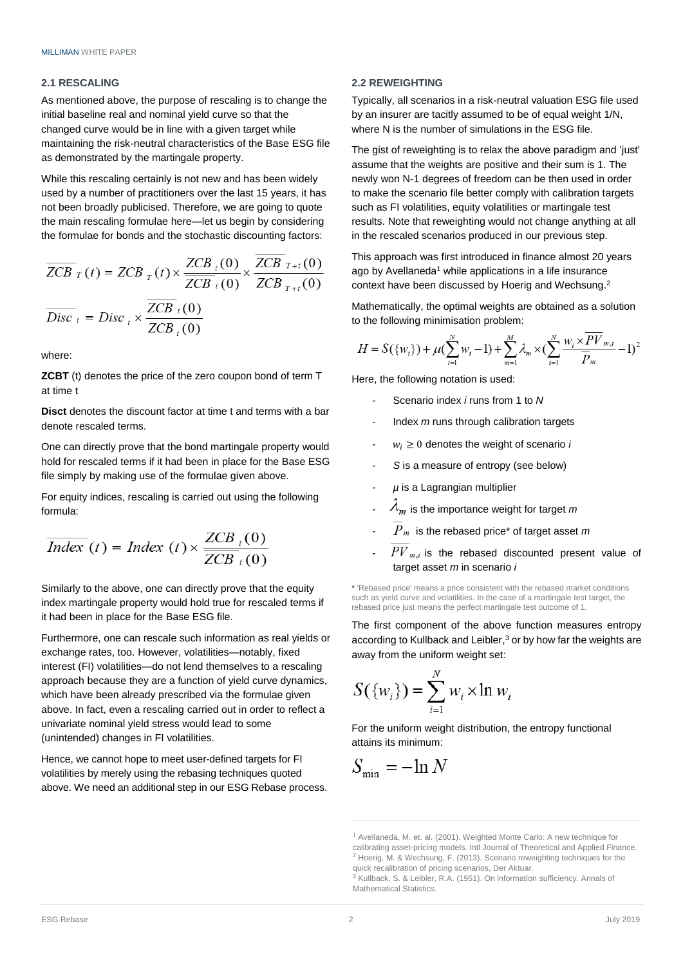#### **2.1 RESCALING**

As mentioned above, the purpose of rescaling is to change the initial baseline real and nominal yield curve so that the changed curve would be in line with a given target while maintaining the risk-neutral characteristics of the Base ESG file as demonstrated by the martingale property.

While this rescaling certainly is not new and has been widely used by a number of practitioners over the last 15 years, it has not been broadly publicised. Therefore, we are going to quote the main rescaling formulae here—let us begin by considering the formulae for bonds and the stochastic discounting factors:

$$
\overline{ZCB}_{T}(t) = ZCB_{T}(t) \times \frac{ZCB_{t}(0)}{\overline{ZCB}_{t}(0)} \times \frac{ZCB_{T+t}(0)}{\overline{ZCB}_{T+t}(0)}
$$

$$
\overline{Disc}_{t} = Disc_{t} \times \frac{\overline{ZCB}_{t}(0)}{\overline{ZCB}_{t}(0)}
$$

where:

**ZCBT** (t) denotes the price of the zero coupon bond of term T at time t

**Disct** denotes the discount factor at time t and terms with a bar denote rescaled terms.

One can directly prove that the bond martingale property would hold for rescaled terms if it had been in place for the Base ESG file simply by making use of the formulae given above.

For equity indices, rescaling is carried out using the following formula:

$$
\overline{Index}(t) = Index(t) \times \frac{ZCB_t(0)}{ZCB_t(0)}
$$

Similarly to the above, one can directly prove that the equity index martingale property would hold true for rescaled terms if it had been in place for the Base ESG file.

Furthermore, one can rescale such information as real yields or exchange rates, too. However, volatilities—notably, fixed interest (FI) volatilities—do not lend themselves to a rescaling approach because they are a function of yield curve dynamics, which have been already prescribed via the formulae given above. In fact, even a rescaling carried out in order to reflect a univariate nominal yield stress would lead to some (unintended) changes in FI volatilities.

Hence, we cannot hope to meet user-defined targets for FI volatilities by merely using the rebasing techniques quoted above. We need an additional step in our ESG Rebase process.

#### **2.2 REWEIGHTING**

Typically, all scenarios in a risk-neutral valuation ESG file used by an insurer are tacitly assumed to be of equal weight 1/N, where N is the number of simulations in the ESG file.

The gist of reweighting is to relax the above paradigm and 'just' assume that the weights are positive and their sum is 1. The newly won N-1 degrees of freedom can be then used in order to make the scenario file better comply with calibration targets such as FI volatilities, equity volatilities or martingale test results. Note that reweighting would not change anything at all in the rescaled scenarios produced in our previous step.

This approach was first introduced in finance almost 20 years ago by Avellaneda<sup>1</sup> while applications in a life insurance context have been discussed by Hoerig and Wechsung. 2

Mathematically, the optimal weights are obtained as a solution to the following minimisation problem:

$$
H = S({w_i}) + \mu(\sum_{i=1}^{N} w_i - 1) + \sum_{m=1}^{M} \lambda_m \times (\sum_{i=1}^{N} \frac{w_i \times \overline{PV}_{m,i}}{\overline{P}_m} - 1)^2
$$

Here, the following notation is used:

- Scenario index *i* runs from 1 to *N*
- Index *m* runs through calibration targets
- $w_i \geq 0$  denotes the weight of scenario *i*
- *S* is a measure of entropy (see below)
- $\mu$  is a Lagrangian multiplier
- $\lambda_m$  is the importance weight for target *m*
- $P_m$  is the rebased price<sup>\*</sup> of target asset *m*
- $\overline{PV}_{m,i}$  is the rebased discounted present value of target asset *m* in scenario *i*

**\*** 'Rebased price' means a price consistent with the rebased market conditions such as yield curve and volatilities. In the case of a martingale test target, the rebased price just means the perfect martingale test outcome of 1.

The first component of the above function measures entropy according to Kullback and Leibler,<sup>3</sup> or by how far the weights are away from the uniform weight set:

$$
S(\{w_i\}) = \sum_{i=1}^{N} w_i \times \ln w_i
$$

For the uniform weight distribution, the entropy functional attains its minimum:

$$
S_{\min} = -\ln N
$$

<sup>1</sup> Avellaneda, M. et. al. (2001). Weighted Monte Carlo: A new technique for calibrating asset-pricing models. Intl Journal of Theoretical and Applied Finance. <sup>2</sup> Hoerig, M. & Wechsung, F. (2013). Scenario reweighting techniques for the quick recalibration of pricing scenarios, Der Aktuar.

<sup>3</sup> Kullback, S. & Leibler, R.A. (1951). On information sufficiency. Annals of Mathematical Statistics.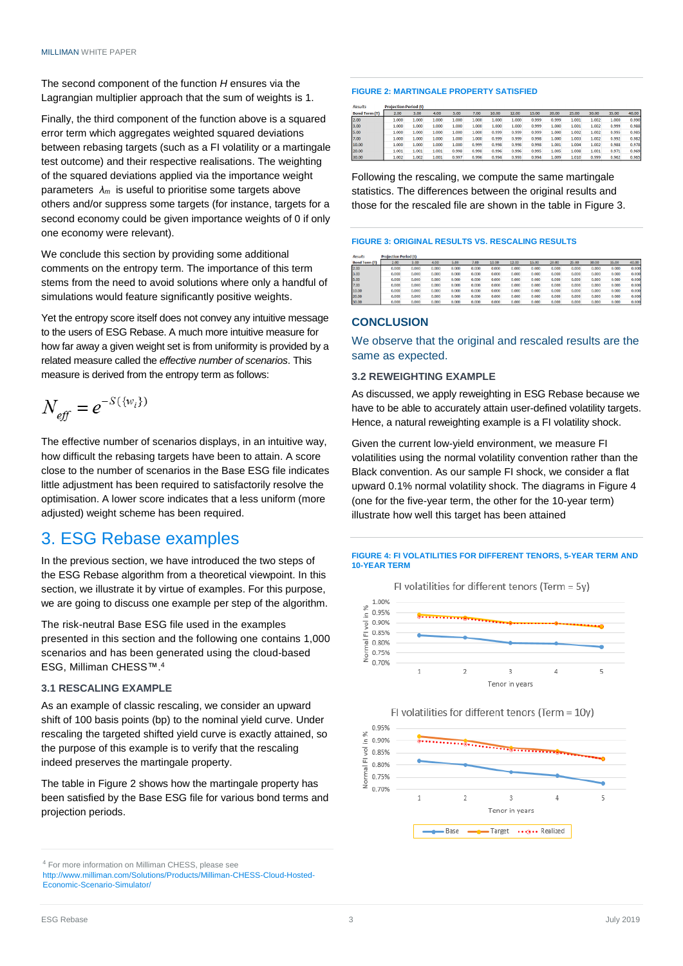The second component of the function *H* ensures via the Lagrangian multiplier approach that the sum of weights is 1.

Finally, the third component of the function above is a squared error term which aggregates weighted squared deviations between rebasing targets (such as a FI volatility or a martingale test outcome) and their respective realisations. The weighting of the squared deviations applied via the importance weight parameters *λm* is useful to prioritise some targets above others and/or suppress some targets (for instance, targets for a second economy could be given importance weights of 0 if only one economy were relevant).

We conclude this section by providing some additional comments on the entropy term. The importance of this term stems from the need to avoid solutions where only a handful of simulations would feature significantly positive weights.

Yet the entropy score itself does not convey any intuitive message to the users of ESG Rebase. A much more intuitive measure for how far away a given weight set is from uniformity is provided by a related measure called the *effective number of scenarios*. This measure is derived from the entropy term as follows:

$$
N_{\text{eff}}=e^{-S(\{w_i\})}
$$

The effective number of scenarios displays, in an intuitive way, how difficult the rebasing targets have been to attain. A score close to the number of scenarios in the Base ESG file indicates little adjustment has been required to satisfactorily resolve the optimisation. A lower score indicates that a less uniform (more adjusted) weight scheme has been required.

# 3. ESG Rebase examples

In the previous section, we have introduced the two steps of the ESG Rebase algorithm from a theoretical viewpoint. In this section, we illustrate it by virtue of examples. For this purpose, we are going to discuss one example per step of the algorithm.

The risk-neutral Base ESG file used in the examples presented in this section and the following one contains 1,000 scenarios and has been generated using the cloud-based ESG, Milliman CHESS™.<sup>4</sup>

### **3.1 RESCALING EXAMPLE**

As an example of classic rescaling, we consider an upward shift of 100 basis points (bp) to the nominal yield curve. Under rescaling the targeted shifted yield curve is exactly attained, so the purpose of this example is to verify that the rescaling indeed preserves the martingale property.

The table in Figure 2 shows how the martingale property has been satisfied by the Base ESG file for various bond terms and projection periods.

#### **FIGURE 2: MARTINGALE PROPERTY SATISFIED**

| <b>Results</b>       | <b>Projection Period (t)</b> |       |       |       |       |       |       |       |       |       |       |       |       |
|----------------------|------------------------------|-------|-------|-------|-------|-------|-------|-------|-------|-------|-------|-------|-------|
| <b>Bond Term (T)</b> | 2.00                         | 3.00  | 4.00  | 5.00  | 7.00  | 10.00 | 12.00 | 15.00 | 20.00 | 25.00 | 30.00 | 35.00 | 40.00 |
| 2.00                 | 1.000                        | 1.000 | 1.000 | 1.000 | 1.000 | 1.000 | 1.000 | 0.999 | 0.999 | 1.001 | 1.002 | 1.000 | 0.990 |
| 3.00                 | 1.000                        | 1.000 | 1.000 | 1.000 | 1.000 | 1.000 | 1.000 | 0.999 | 1.000 | 1.001 | 1.002 | 0.999 | 0.988 |
| 5.00                 | 1.000                        | 1.000 | 1.000 | 1.000 | 1.000 | 0.999 | 0.999 | 0.999 | 1.000 | 1.002 | 1.002 | 0.995 | 0.985 |
| 7.00                 | 1.000                        | 1.000 | 1.000 | 1.000 | 1.000 | 0.999 | 0.999 | 0.998 | 1.000 | 1.003 | 1.002 | 0.992 | 0.982 |
| 10.00                | 1.000                        | 1,000 | 1.000 | 1.000 | 0.999 | 0.998 | 0.998 | 0.998 | 1.001 | 1.004 | 1.002 | 0.988 | 0.978 |
| 20.00                | 1.001                        | 1.001 | 1.001 | 0.998 | 0.998 | 0.996 | 0.996 | 0.995 | 1.005 | 1.008 | 1.001 | 0.971 | 0.969 |
| 30.00                | 1.002                        | 1.002 | 1.001 | 0.997 | 0.996 | 0.994 | 0.993 | 0.994 | 1.009 | 1.010 | 0.999 | 0.962 | 0.965 |

Following the rescaling, we compute the same martingale statistics. The differences between the original results and those for the rescaled file are shown in the table in Figure 3.

#### **FIGURE 3: ORIGINAL RESULTS VS. RESCALING RESULTS**

| <b>KESUITS</b>       | Profection Period It) |       |             |       |       |       |             |       |       |       |       |              |             |
|----------------------|-----------------------|-------|-------------|-------|-------|-------|-------------|-------|-------|-------|-------|--------------|-------------|
| <b>Bond Term (T)</b> | 2.00                  | 3.00  | 4.00        | 5.00  | 7.00  | 10.00 | 12.00       | 15.00 | 20.00 | 25.00 | 30.00 | 35.00        | 40.00       |
| 2.00                 | 0.000                 | 0.000 | 0.000       | 0.000 | 0.000 | 0.000 | 0.000       | 0.000 | 0.000 | 0.000 | 0.000 | 0.000        | 0.000       |
| 3.00                 | 0.000                 | 0.000 | 0.000       | 0.000 | 0.000 | 0.000 | 0.000       | 0.000 | 0.000 | 0.000 | 0.000 | 0.000        | 0.000       |
| 5.00                 | 0.000                 | 0.000 | 0.000       | 0.000 | 0.000 | 0.000 | 0.000       | 0.000 | 0.000 | 0.000 | 0.000 | 0.000        | 0.000       |
| 7.00                 | 0.000                 | 0.000 | 0.000       | 0.000 | 0.000 | 0.000 | 0.000       | 0.000 | 0.000 | 0.000 | 0.000 | 0.000        | 0.000       |
| 10.00                | 0.000                 | 0.000 | 0.000       | 0.000 | 0.000 | 0.000 | 0.000       | 0.000 | 0.000 | 0.000 | 0.000 | 0.000        | 0.000       |
| 20.00                | 0.000                 | 0.000 | 0.000       | 0.000 | 0.000 | 0.000 | 0.000       | 0.000 | 0.000 | 0.000 | 0.000 | 0.000        | 0.000       |
| 2000                 | 0.000                 | 0.000 | <b>CONS</b> | o one | 0.000 | 0.000 | <b>COOL</b> | o eee | 0.000 | o oon | 0.000 | <b>A ABA</b> | <b>COOL</b> |

#### **CONCLUSION**

We observe that the original and rescaled results are the same as expected.

#### **3.2 REWEIGHTING EXAMPLE**

As discussed, we apply reweighting in ESG Rebase because we have to be able to accurately attain user-defined volatility targets. Hence, a natural reweighting example is a FI volatility shock.

Given the current low-yield environment, we measure FI volatilities using the normal volatility convention rather than the Black convention. As our sample FI shock, we consider a flat upward 0.1% normal volatility shock. The diagrams in Figure 4 (one for the five-year term, the other for the 10-year term) illustrate how well this target has been attained

#### **FIGURE 4: FI VOLATILITIES FOR DIFFERENT TENORS, 5-YEAR TERM AND 10-YEAR TERM**





<sup>4</sup> For more information on Milliman CHESS, please see

[http://www.milliman.com/Solutions/Products/Milliman-CHESS-Cloud-Hosted-](http://www.milliman.com/Solutions/Products/Milliman-CHESS-Cloud-Hosted-Economic-Scenario-Simulator/)[Economic-Scenario-Simulator/](http://www.milliman.com/Solutions/Products/Milliman-CHESS-Cloud-Hosted-Economic-Scenario-Simulator/)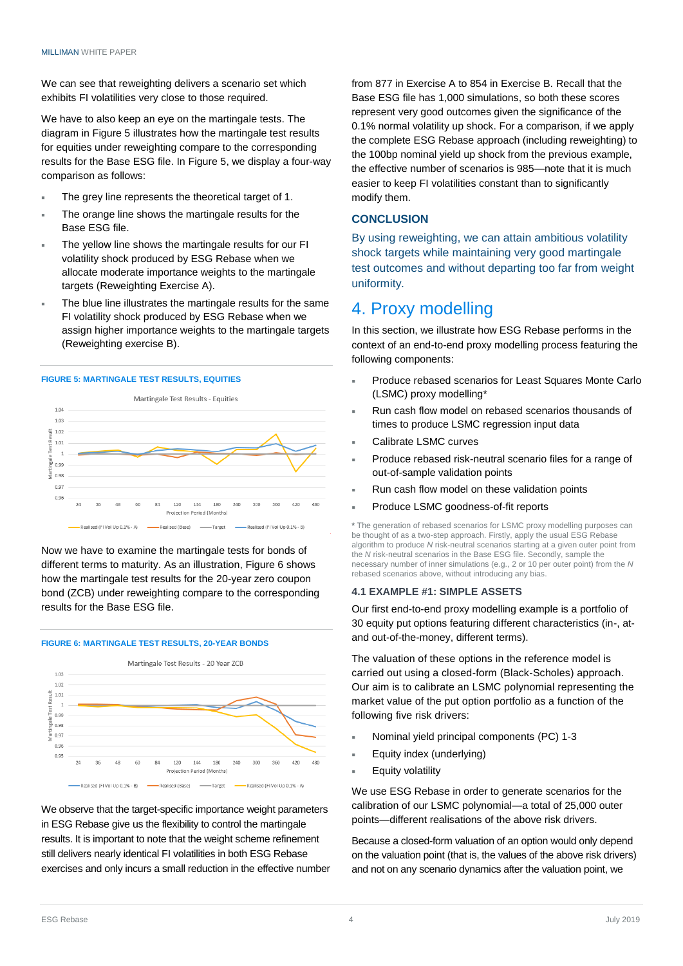We can see that reweighting delivers a scenario set which exhibits FI volatilities very close to those required.

We have to also keep an eye on the martingale tests. The diagram in Figure 5 illustrates how the martingale test results for equities under reweighting compare to the corresponding results for the Base ESG file. In Figure 5, we display a four-way comparison as follows:

- The grey line represents the theoretical target of 1.
- The orange line shows the martingale results for the Base ESG file.
- The yellow line shows the martingale results for our FI volatility shock produced by ESG Rebase when we allocate moderate importance weights to the martingale targets (Reweighting Exercise A).
- The blue line illustrates the martingale results for the same FI volatility shock produced by ESG Rebase when we assign higher importance weights to the martingale targets (Reweighting exercise B).

#### **FIGURE 5: MARTINGALE TEST RESULTS, EQUITIES**



Now we have to examine the martingale tests for bonds of different terms to maturity. As an illustration, Figure 6 shows how the martingale test results for the 20-year zero coupon bond (ZCB) under reweighting compare to the corresponding results for the Base ESG file.

#### **FIGURE 6: MARTINGALE TEST RESULTS, 20-YEAR BONDS**



We observe that the target-specific importance weight parameters in ESG Rebase give us the flexibility to control the martingale results. It is important to note that the weight scheme refinement still delivers nearly identical FI volatilities in both ESG Rebase exercises and only incurs a small reduction in the effective number from 877 in Exercise A to 854 in Exercise B. Recall that the Base ESG file has 1,000 simulations, so both these scores represent very good outcomes given the significance of the 0.1% normal volatility up shock. For a comparison, if we apply the complete ESG Rebase approach (including reweighting) to the 100bp nominal yield up shock from the previous example, the effective number of scenarios is 985—note that it is much easier to keep FI volatilities constant than to significantly modify them.

# **CONCLUSION**

By using reweighting, we can attain ambitious volatility shock targets while maintaining very good martingale test outcomes and without departing too far from weight uniformity.

# 4. Proxy modelling

In this section, we illustrate how ESG Rebase performs in the context of an end-to-end proxy modelling process featuring the following components:

- Produce rebased scenarios for Least Squares Monte Carlo (LSMC) proxy modelling\*
- Run cash flow model on rebased scenarios thousands of times to produce LSMC regression input data
- Calibrate LSMC curves
- Produce rebased risk-neutral scenario files for a range of out-of-sample validation points
- Run cash flow model on these validation points
- Produce LSMC goodness-of-fit reports

**\*** The generation of rebased scenarios for LSMC proxy modelling purposes can be thought of as a two-step approach. Firstly, apply the usual ESG Rebase algorithm to produce *N* risk-neutral scenarios starting at a given outer point from the *N* risk-neutral scenarios in the Base ESG file. Secondly, sample the necessary number of inner simulations (e.g., 2 or 10 per outer point) from the *N* rebased scenarios above, without introducing any bias.

#### **4.1 EXAMPLE #1: SIMPLE ASSETS**

Our first end-to-end proxy modelling example is a portfolio of 30 equity put options featuring different characteristics (in-, atand out-of-the-money, different terms).

The valuation of these options in the reference model is carried out using a closed-form (Black-Scholes) approach. Our aim is to calibrate an LSMC polynomial representing the market value of the put option portfolio as a function of the following five risk drivers:

- Nominal yield principal components (PC) 1-3
- Equity index (underlying)
- Equity volatility

We use ESG Rebase in order to generate scenarios for the calibration of our LSMC polynomial—a total of 25,000 outer points—different realisations of the above risk drivers.

Because a closed-form valuation of an option would only depend on the valuation point (that is, the values of the above risk drivers) and not on any scenario dynamics after the valuation point, we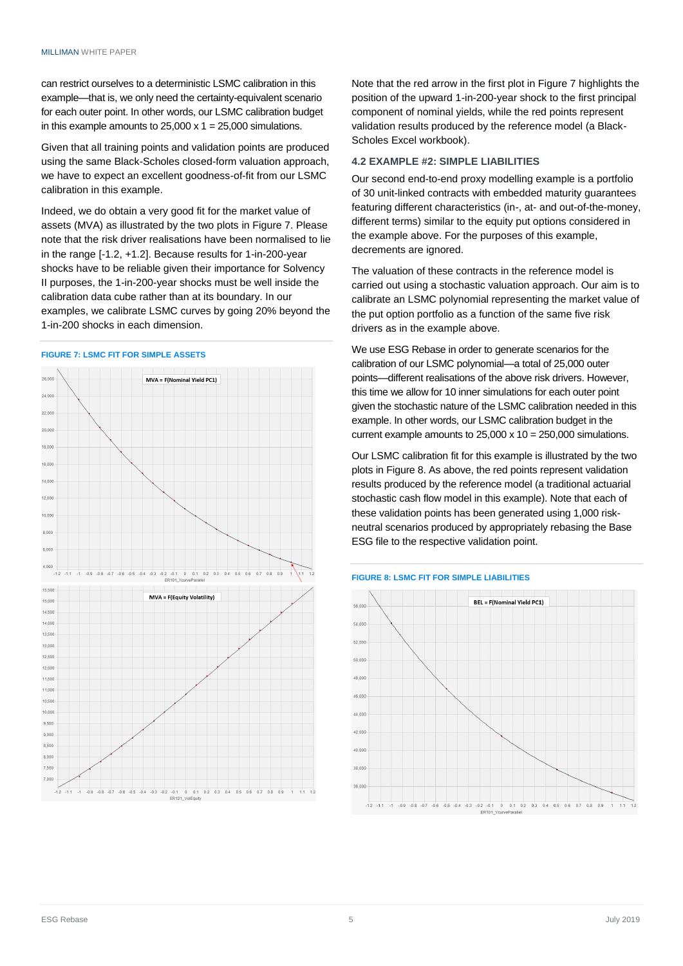can restrict ourselves to a deterministic LSMC calibration in this example—that is, we only need the certainty-equivalent scenario for each outer point. In other words, our LSMC calibration budget in this example amounts to  $25,000 \times 1 = 25,000$  simulations.

Given that all training points and validation points are produced using the same Black-Scholes closed-form valuation approach, we have to expect an excellent goodness-of-fit from our LSMC calibration in this example.

Indeed, we do obtain a very good fit for the market value of assets (MVA) as illustrated by the two plots in Figure 7. Please note that the risk driver realisations have been normalised to lie in the range [-1.2, +1.2]. Because results for 1-in-200-year shocks have to be reliable given their importance for Solvency II purposes, the 1-in-200-year shocks must be well inside the calibration data cube rather than at its boundary. In our examples, we calibrate LSMC curves by going 20% beyond the 1-in-200 shocks in each dimension.

#### **FIGURE 7: LSMC FIT FOR SIMPLE ASSETS**



Note that the red arrow in the first plot in Figure 7 highlights the position of the upward 1-in-200-year shock to the first principal component of nominal yields, while the red points represent validation results produced by the reference model (a Black-Scholes Excel workbook).

## **4.2 EXAMPLE #2: SIMPLE LIABILITIES**

Our second end-to-end proxy modelling example is a portfolio of 30 unit-linked contracts with embedded maturity guarantees featuring different characteristics (in-, at- and out-of-the-money, different terms) similar to the equity put options considered in the example above. For the purposes of this example, decrements are ignored.

The valuation of these contracts in the reference model is carried out using a stochastic valuation approach. Our aim is to calibrate an LSMC polynomial representing the market value of the put option portfolio as a function of the same five risk drivers as in the example above.

We use ESG Rebase in order to generate scenarios for the calibration of our LSMC polynomial—a total of 25,000 outer points—different realisations of the above risk drivers. However, this time we allow for 10 inner simulations for each outer point given the stochastic nature of the LSMC calibration needed in this example. In other words, our LSMC calibration budget in the current example amounts to  $25,000 \times 10 = 250,000$  simulations.

Our LSMC calibration fit for this example is illustrated by the two plots in Figure 8. As above, the red points represent validation results produced by the reference model (a traditional actuarial stochastic cash flow model in this example). Note that each of these validation points has been generated using 1,000 riskneutral scenarios produced by appropriately rebasing the Base ESG file to the respective validation point.

#### **FIGURE 8: LSMC FIT FOR SIMPLE LIABILITIES**

![](_page_4_Figure_13.jpeg)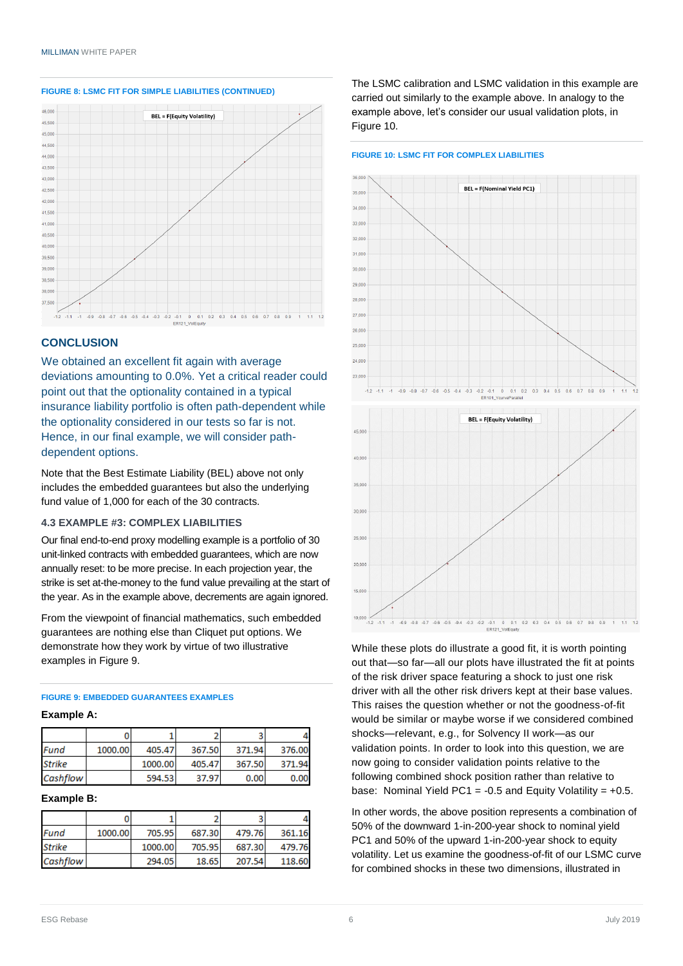![](_page_5_Figure_1.jpeg)

#### **FIGURE 8: LSMC FIT FOR SIMPLE LIABILITIES (CONTINUED)**

## **CONCLUSION**

We obtained an excellent fit again with average deviations amounting to 0.0%. Yet a critical reader could point out that the optionality contained in a typical insurance liability portfolio is often path-dependent while the optionality considered in our tests so far is not. Hence, in our final example, we will consider pathdependent options.

Note that the Best Estimate Liability (BEL) above not only includes the embedded guarantees but also the underlying fund value of 1,000 for each of the 30 contracts.

### **4.3 EXAMPLE #3: COMPLEX LIABILITIES**

Our final end-to-end proxy modelling example is a portfolio of 30 unit-linked contracts with embedded guarantees, which are now annually reset: to be more precise. In each projection year, the strike is set at-the-money to the fund value prevailing at the start of the year. As in the example above, decrements are again ignored.

From the viewpoint of financial mathematics, such embedded guarantees are nothing else than Cliquet put options. We demonstrate how they work by virtue of two illustrative examples in Figure 9.

## **FIGURE 9: EMBEDDED GUARANTEES EXAMPLES**

#### **Example A:**

| Fund            | 1000.00 | 405.47  | 367.50 | 371.94 | 376.00 |
|-----------------|---------|---------|--------|--------|--------|
| <b>Strike</b>   |         | 1000.00 | 405.47 | 367.50 | 371.94 |
| <b>Cashflow</b> |         | 594.53  | 37.97  | 0.00   | 0.00   |

#### **Example B:**

| Fund          | 1000.00 | 705.95  | 687.30 | 479.76 | 361.16 |
|---------------|---------|---------|--------|--------|--------|
| <b>Strike</b> |         | 1000.00 | 705.95 | 687.30 | 479.76 |
| Cashflow      |         | 294.05  | 18.65  | 207.54 | 118.60 |

The LSMC calibration and LSMC validation in this example are carried out similarly to the example above. In analogy to the example above, let's consider our usual validation plots, in Figure 10.

#### **FIGURE 10: LSMC FIT FOR COMPLEX LIABILITIES**

![](_page_5_Figure_16.jpeg)

![](_page_5_Figure_17.jpeg)

While these plots do illustrate a good fit, it is worth pointing out that—so far—all our plots have illustrated the fit at points of the risk driver space featuring a shock to just one risk driver with all the other risk drivers kept at their base values. This raises the question whether or not the goodness-of-fit would be similar or maybe worse if we considered combined shocks—relevant, e.g., for Solvency II work—as our validation points. In order to look into this question, we are now going to consider validation points relative to the following combined shock position rather than relative to base: Nominal Yield PC1 =  $-0.5$  and Equity Volatility =  $+0.5$ .

In other words, the above position represents a combination of 50% of the downward 1-in-200-year shock to nominal yield PC1 and 50% of the upward 1-in-200-year shock to equity volatility. Let us examine the goodness-of-fit of our LSMC curve for combined shocks in these two dimensions, illustrated in